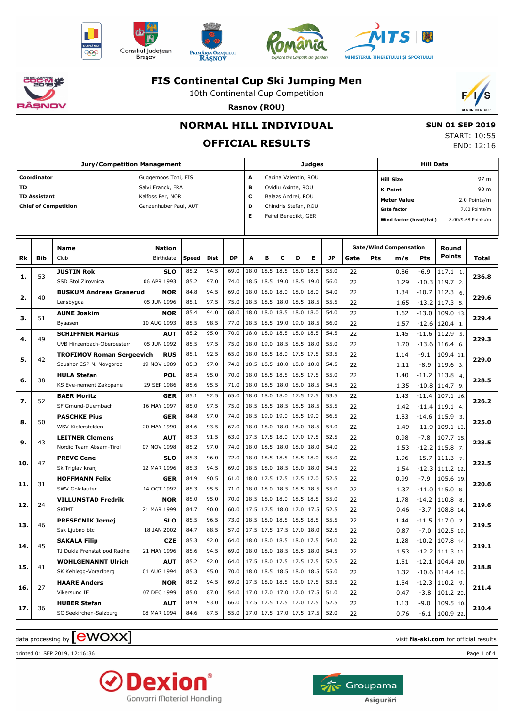











10th Continental Cup Competition



**Rasnov (ROU)**

### **NORMAL HILL INDIVIDUAL**

## **OFFICIAL RESULTS**

 **SUN 01 SEP 2019** START: 10:55 END: 12:16

| Jury/Competition Management |                     |                                  |                       |                         |      |           |                           |                      |   |                          | Judges |                    |             | Hill Data |                               |               |                        |                    |  |
|-----------------------------|---------------------|----------------------------------|-----------------------|-------------------------|------|-----------|---------------------------|----------------------|---|--------------------------|--------|--------------------|-------------|-----------|-------------------------------|---------------|------------------------|--------------------|--|
|                             | Coordinator         |                                  | Guggemoos Toni, FIS   |                         |      |           | А<br>Cacina Valentin, ROU |                      |   |                          |        |                    |             |           | 97 m<br><b>Hill Size</b>      |               |                        |                    |  |
| <b>TD</b>                   |                     |                                  | Salvi Franck, FRA     |                         |      |           | B<br>Ovidiu Axinte, ROU   |                      |   |                          |        |                    |             |           | 90 m<br><b>K-Point</b>        |               |                        |                    |  |
|                             | <b>TD Assistant</b> |                                  | Kalfoss Per, NOR      | c<br>Balazs Andrei, ROU |      |           |                           |                      |   |                          |        | <b>Meter Value</b> |             |           | 2.0 Points/m                  |               |                        |                    |  |
|                             |                     | <b>Chief of Competition</b>      | Ganzenhuber Paul, AUT |                         | D    |           |                           | Chindris Stefan, ROU |   |                          |        |                    | Gate factor |           |                               | 7.00 Points/m |                        |                    |  |
|                             |                     |                                  |                       |                         |      |           | Е                         |                      |   | Feifel Benedikt, GER     |        |                    |             |           | Wind factor (head/tail)       |               |                        | 8.00/9.68 Points/m |  |
|                             |                     |                                  |                       |                         |      |           |                           |                      |   |                          |        |                    |             |           |                               |               |                        |                    |  |
|                             |                     |                                  |                       |                         |      |           |                           |                      |   |                          |        |                    |             |           |                               |               |                        |                    |  |
|                             |                     | <b>Name</b>                      | <b>Nation</b>         |                         |      |           |                           |                      |   |                          |        |                    |             |           | <b>Gate/Wind Compensation</b> |               | Round<br><b>Points</b> |                    |  |
| Rk                          | Bib                 | Club                             | Birthdate             | Speed                   | Dist | <b>DP</b> | A                         | в                    | с | D                        | Е      | JP                 | Gate        | Pts       | m/s                           | Pts           |                        | Total              |  |
| 1.                          | 53                  | <b>JUSTIN Rok</b>                | <b>SLO</b>            | 85.2                    | 94.5 | 69.0      |                           |                      |   | 18.0 18.5 18.5 18.0 18.5 |        | 55.0               | 22          |           | 0.86                          | -6.9          | 117.1 1.               | 236.8              |  |
|                             |                     | SSD Stol Zirovnica               | 06 APR 1993           | 85.2                    | 97.0 | 74.0      |                           |                      |   | 18.5 18.5 19.0 18.5 19.0 |        | 56.0               | 22          |           | 1.29                          | $-10.3$       | 119.7 2.               |                    |  |
| 2.                          | 40                  | <b>BUSKUM Andreas Granerud</b>   | <b>NOR</b>            | 84.8                    | 94.5 | 69.0      | 18.0                      |                      |   | 18.0 18.0 18.0 18.0      |        | 54.0               | 22          |           | 1.34                          | $-10.7$       | 112.3 6.               | 229.6              |  |
|                             |                     | Lensbygda                        | 05 JUN 1996           | 85.1                    | 97.5 | 75.0      |                           |                      |   | 18.5 18.5 18.0 18.5 18.5 |        | 55.5               | 22          |           | 1.65                          | $-13.2$       | 117.3 5.               |                    |  |
| з.                          | 51                  | <b>AUNE Joakim</b>               | <b>NOR</b>            | 85.4                    | 94.0 | 68.0      |                           |                      |   | 18.0 18.0 18.5 18.0 18.0 |        | 54.0               | 22          |           | 1.62                          | $-13.0$       | 109.0 13.              | 229.4              |  |
|                             |                     | Byaasen                          | 10 AUG 1993           | 85.5                    | 98.5 | 77.0      |                           |                      |   | 18.5 18.5 19.0 19.0 18.5 |        | 56.0               | 22          |           | 1.57                          | $-12.6$       | 120.4 1.               |                    |  |
| 4.                          | 49                  | <b>SCHIFFNER Markus</b>          | <b>AUT</b>            | 85.2                    | 95.0 | 70.0      | 18.0                      |                      |   | 18.0 18.5 18.0 18.5      |        | 54.5               | 22          |           | 1.45                          | $-11.6$       | 112.9 5.               | 229.3              |  |
|                             |                     | UVB Hinzenbach-Oberoesterr       | 05 JUN 1992           | 85.5                    | 97.5 | 75.0      |                           |                      |   | 18.0 19.0 18.5 18.5 18.0 |        | 55.0               | 22          |           | 1.70                          | $-13.6$       | 116.4 6.               |                    |  |
| 5.                          | 42                  | <b>TROFIMOV Roman Sergeevich</b> | <b>RUS</b>            | 85.1                    | 92.5 | 65.0      |                           |                      |   | 18.0 18.5 18.0 17.5 17.5 |        | 53.5               | 22          |           | 1.14                          | $-9.1$        | 109.4 11.              | 229.0              |  |
|                             |                     | Sdushor CSP N. Novgorod          | 19 NOV 1989           | 85.3                    | 97.0 | 74.0      |                           |                      |   | 18.5 18.5 18.0 18.0 18.0 |        | 54.5               | 22          |           | 1.11                          | $-8.9$        | 119.6 3.               |                    |  |
| 6.                          | 38                  | <b>HULA Stefan</b>               | <b>POL</b>            | 85.4                    | 95.0 | 70.0      |                           |                      |   | 18.0 18.5 18.5 18.5 17.5 |        | 55.0               | 22          |           | 1.40                          | $-11.2$       | 113.8 4.               | 228.5              |  |
|                             |                     | KS Eve-nement Zakopane           | 29 SEP 1986           | 85.6                    | 95.5 | 71.0      |                           |                      |   | 18.0 18.5 18.0 18.0 18.5 |        | 54.5               | 22          |           | 1.35                          | $-10.8$       | $114.79$ .             |                    |  |
|                             | 52                  | <b>BAER Moritz</b>               | GER                   | 85.1                    | 92.5 | 65.0      |                           |                      |   | 18.0 18.0 18.0 17.5 17.5 |        | 53.5               | 22          |           | 1.43                          | $-11.4$       | 107.1 16.              |                    |  |
| 7.                          |                     | SF Gmund-Duernbach               | 16 MAY 1997           | 85.0                    | 97.5 | 75.0      |                           |                      |   | 18.5 18.5 18.5 18.5 18.5 |        | 55.5               | 22          |           | 1.42                          | $-11.4$       | 119.1 4.               | 226.2              |  |
|                             | 50                  | <b>PASCHKE Pius</b>              | GER                   | 84.8                    | 97.0 | 74.0      |                           |                      |   | 18.5 19.0 19.0 18.5 19.0 |        | 56.5               | 22          |           | 1.83                          | $-14.6$       | 115.9 3.               | 225.0              |  |
| 8.                          |                     | WSV Kiefersfelden                | 20 MAY 1990           | 84.6                    | 93.5 | 67.0      |                           |                      |   | 18.0 18.0 18.0 18.0 18.5 |        | 54.0               | 22          |           | 1.49                          | $-11.9$       | 109.1 13.              |                    |  |
| 9.                          | 43                  | <b>LEITNER Clemens</b>           | <b>AUT</b>            | 85.3                    | 91.5 | 63.0      |                           |                      |   | 17.5 17.5 18.0 17.0 17.5 |        | 52.5               | 22          |           | 0.98                          | $-7.8$        | 107.7 15.              | 223.5              |  |
|                             |                     | Nordic Team Absam-Tirol          | 07 NOV 1998           | 85.2                    | 97.0 | 74.0      |                           |                      |   | 18.0 18.5 18.0 18.0 18.0 |        | 54.0               | 22          |           | 1.53                          | $-12.2$       | 115.8 7.               |                    |  |
|                             | 47                  | <b>PREVC Cene</b>                | SLO                   | 85.3                    | 96.0 | 72.0      |                           |                      |   | 18.0 18.5 18.5 18.5 18.0 |        | 55.0               | 22          |           | 1.96                          | $-15.7$       | $111.3$ 7.             |                    |  |
| 10.                         |                     | Sk Triglav kranj                 | 12 MAR 1996           | 85.3                    | 94.5 | 69.0      |                           |                      |   | 18.5 18.0 18.5 18.0 18.0 |        | 54.5               | 22          |           | 1.54                          | $-12.3$       | 111.2 12.              | 222.5              |  |
|                             |                     | <b>HOFFMANN Felix</b>            | <b>GER</b>            | 84.9                    | 90.5 | 61.0      |                           |                      |   | 18.0 17.5 17.5 17.5 17.0 |        | 52.5               | 22          |           | 0.99                          | $-7.9$        | 105.6 19.              |                    |  |
| 11.                         | 31                  | SWV Goldlauter                   | 14 OCT 1997           | 85.3                    | 95.5 | 71.0      |                           |                      |   | 18.0 18.0 18.5 18.5 18.5 |        | 55.0               | 22          |           | 1.37                          | $-11.0$       | 115.0 8.               | 220.6              |  |
|                             |                     | <b>VILLUMSTAD Fredrik</b>        | <b>NOR</b>            | 85.0                    | 95.0 | 70.0      |                           |                      |   | 18.5 18.0 18.0 18.5 18.5 |        | 55.0               | 22          |           | 1.78                          | $-14.2$       | 110.8 8.               |                    |  |
| 12.                         | 24                  | <b>SKIMT</b>                     | 21 MAR 1999           | 84.7                    | 90.0 | 60.0      |                           |                      |   | 17.5 17.5 18.0 17.0 17.5 |        | 52.5               | 22          |           | 0.46                          | $-3.7$        | 108.8 14.              | 219.6              |  |
|                             |                     | <b>PRESECNIK Jernej</b>          | <b>SLO</b>            | 85.5                    | 96.5 | 73.0      |                           |                      |   | 18.5 18.0 18.5 18.5 18.5 |        | 55.5               | 22          |           | 1.44                          | $-11.5$       | 117.0 2.               |                    |  |
| 13.                         | 46                  | Ssk Ljubno btc                   | 18 JAN 2002           | 84.7                    | 88.5 | 57.0      |                           |                      |   | 17.5 17.5 17.5 17.0 18.0 |        | 52.5               | 22          |           | 0.87                          | $-7.0$        | 102.5 19.              | 219.5              |  |
|                             |                     | <b>SAKALA Filip</b>              | <b>CZE</b>            | 85.3                    | 92.0 | 64.0      |                           |                      |   | 18.0 18.0 18.5 18.0 17.5 |        | 54.0               | 22          |           | 1.28                          | $-10.2$       | 107.8 14.              |                    |  |
| 14.                         | 45                  | TJ Dukla Frenstat pod Radho      | 21 MAY 1996           | 85.6                    | 94.5 | 69.0      | 18.0 18.0 18.5 18.5 18.0  |                      |   |                          |        | 54.5               | 22          |           | 1.53                          |               | $-12.2$ 111.3 11.      | 219.1              |  |
|                             |                     | <b>WOHLGENANNT Ulrich</b>        | <b>AUT</b>            | 85.2                    | 92.0 | 64.0      |                           |                      |   | 17.5 18.0 17.5 17.5 17.5 |        | 52.5               | 22          |           | 1.51                          |               | $-12.1$ 104.4 20.      |                    |  |
| 15.                         | 41                  | SK Kehlegg-Vorarlberg            | 01 AUG 1994           | 85.3                    | 95.0 | 70.0      |                           |                      |   | 18.0 18.5 18.5 18.0 18.5 |        | 55.0               | 22          |           | 1.32                          |               | $-10.6$ 114.4 10.      | 218.8              |  |
|                             |                     | <b>HAARE Anders</b>              | <b>NOR</b>            | 85.2                    | 94.5 | 69.0      |                           |                      |   | 17.5 18.0 18.5 18.0 17.5 |        | 53.5               | 22          |           | 1.54                          |               | $-12.3$ 110.2 9.       |                    |  |
| 16.                         | 27                  | Vikersund IF                     | 07 DEC 1999           | 85.0                    | 87.0 | 54.0      |                           |                      |   | 17.0 17.0 17.0 17.0 17.5 |        | 51.0               | 22          |           | 0.47                          | $-3.8$        | 101.2 20.              | 211.4              |  |
|                             |                     | <b>HUBER Stefan</b>              | <b>AUT</b>            | 84.9                    | 93.0 | 66.0      |                           |                      |   | 17.5 17.5 17.5 17.0 17.5 |        | 52.5               | 22          |           | 1.13                          | $-9.0$        | 109.5 10.              |                    |  |
| 17.                         | 36                  | SC Seekirchen-Salzburg           | 08 MAR 1994           | 84.6                    | 87.5 | 55.0      |                           |                      |   | 17.0 17.5 17.0 17.5 17.5 |        | 52.0               | 22          |           | 0.76                          | $-6.1$        | 100.9 22.              | 210.4              |  |

## $\alpha$  data processing by  $\boxed{\text{ewOX}}$

printed 01 SEP 2019, 12:16:36 Page 1 of 4



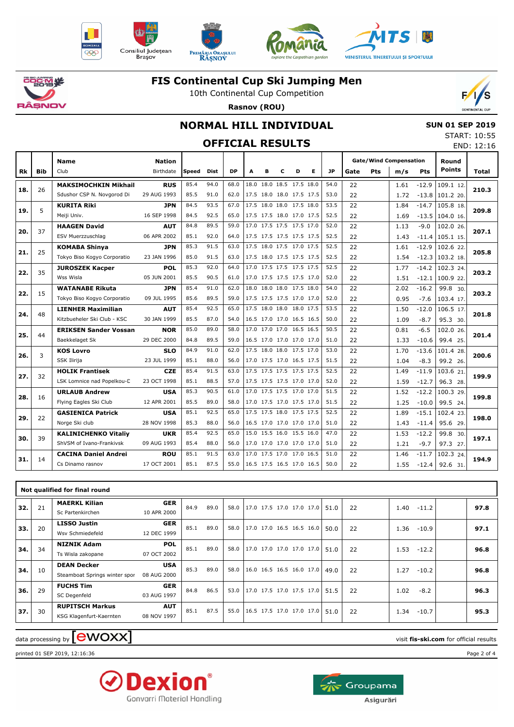











10th Continental Cup Competition **Rasnov (ROU)**



### **NORMAL HILL INDIVIDUAL**

 **SUN 01 SEP 2019** START: 10:55 END: 12:16

# **OFFICIAL RESULTS**

|     |            | <b>Name</b>                  | <b>Nation</b> |       |             |           |   |                          |   |   |   |           |      | <b>Gate/Wind Compensation</b> |      | Round   |               |       |
|-----|------------|------------------------------|---------------|-------|-------------|-----------|---|--------------------------|---|---|---|-----------|------|-------------------------------|------|---------|---------------|-------|
| Rk  | <b>Bib</b> | Club                         | Birthdate     | Speed | <b>Dist</b> | <b>DP</b> | A | в                        | C | D | Е | <b>JP</b> | Gate | Pts                           | m/s  | Pts     | <b>Points</b> | Total |
|     |            | <b>MAKSIMOCHKIN Mikhail</b>  | <b>RUS</b>    | 85.4  | 94.0        | 68.0      |   | 18.0 18.0 18.5 17.5 18.0 |   |   |   | 54.0      | 22   |                               | 1.61 | $-12.9$ | 109.1 12.     |       |
| 18. | 26         | Sdushor CSP N. Novgorod Di   | 29 AUG 1993   | 85.5  | 91.0        | 62.0      |   | 17.5 18.0 18.0 17.5 17.5 |   |   |   | 53.0      | 22   |                               | 1.72 | $-13.8$ | 101.2 20.     | 210.3 |
|     | 5.         | <b>KURITA Riki</b>           | <b>JPN</b>    | 84.5  | 93.5        | 67.0      |   | 17.5 18.0 18.0 17.5 18.0 |   |   |   | 53.5      | 22   |                               | 1.84 | $-14.7$ | 105.8 18.     | 209.8 |
| 19. |            | Meiji Univ.                  | 16 SEP 1998   | 84.5  | 92.5        | 65.0      |   | 17.5 17.5 18.0 17.0 17.5 |   |   |   | 52.5      | 22   |                               | 1.69 | $-13.5$ | 104.0 16.     |       |
| 20. | 37         | <b>HAAGEN David</b>          | <b>AUT</b>    | 84.8  | 89.5        | 59.0      |   | 17.0 17.5 17.5 17.5 17.0 |   |   |   | 52.0      | 22   |                               | 1.13 | $-9.0$  | 102.0 26.     | 207.1 |
|     |            | ESV Muerzzuschlag            | 06 APR 2002   | 85.1  | 92.0        | 64.0      |   | 17.5 17.5 17.5 17.5 17.5 |   |   |   | 52.5      | 22   |                               | 1.43 | $-11.4$ | 105.1 15.     |       |
| 21. | 25         | <b>KOMABA Shinva</b>         | <b>JPN</b>    | 85.3  | 91.5        | 63.0      |   | 17.5 18.0 17.5 17.0 17.5 |   |   |   | 52.5      | 22   |                               | 1.61 | $-12.9$ | 102.6 22.     | 205.8 |
|     |            | Tokyo Biso Kogyo Corporatio  | 23 JAN 1996   | 85.0  | 91.5        | 63.0      |   | 17.5 18.0 17.5 17.5 17.5 |   |   |   | 52.5      | 22   |                               | 1.54 | $-12.3$ | 103.2 18.     |       |
| 22. | 35         | <b>JUROSZEK Kacper</b>       | <b>POL</b>    | 85.3  | 92.0        | 64.0      |   | 17.0 17.5 17.5 17.5 17.5 |   |   |   | 52.5      | 22   |                               | 1.77 | $-14.2$ | 102.3 24.     | 203.2 |
|     |            | Wss Wisla                    | 05 JUN 2001   | 85.5  | 90.5        | 61.0      |   | 17.0 17.5 17.5 17.5 17.0 |   |   |   | 52.0      | 22   |                               | 1.51 | $-12.1$ | 100.9 22.     |       |
| 22. | 15         | <b>WATANABE Rikuta</b>       | <b>JPN</b>    | 85.4  | 91.0        | 62.0      |   | 18.0 18.0 18.0 17.5 18.0 |   |   |   | 54.0      | 22   |                               | 2.02 | $-16.2$ | 99.8 30.      | 203.2 |
|     |            | Tokyo Biso Kogyo Corporatio  | 09 JUL 1995   | 85.6  | 89.5        | 59.0      |   | 17.5 17.5 17.5 17.0 17.0 |   |   |   | 52.0      | 22   |                               | 0.95 | $-7.6$  | 103.4 17.     |       |
| 24. | 48         | <b>LIENHER Maximilian</b>    | <b>AUT</b>    | 85.4  | 92.5        | 65.0      |   | 17.5 18.0 18.0 18.0 17.5 |   |   |   | 53.5      | 22   |                               | 1.50 | $-12.0$ | 106.5 17.     | 201.8 |
|     |            | Kitzbueheler Ski Club - KSC  | 30 JAN 1999   | 85.5  | 87.0        | 54.0      |   | 16.5 17.0 17.0 16.5 16.5 |   |   |   | 50.0      | 22   |                               | 1.09 | $-8.7$  | 95.3 30.      |       |
| 25. | 44         | <b>ERIKSEN Sander Vossan</b> | <b>NOR</b>    | 85.0  | 89.0        | 58.0      |   | 17.0 17.0 17.0 16.5 16.5 |   |   |   | 50.5      | 22   |                               | 0.81 | $-6.5$  | 102.0 26.     | 201.4 |
|     |            | Baekkelaget Sk               | 29 DEC 2000   | 84.8  | 89.5        | 59.0      |   | 16.5 17.0 17.0 17.0 17.0 |   |   |   | 51.0      | 22   |                               | 1.33 | $-10.6$ | 99.4 25.      |       |
| 26. | 3          | <b>KOS Lovro</b>             | <b>SLO</b>    | 84.9  | 91.0        | 62.0      |   | 17.5 18.0 18.0 17.5 17.0 |   |   |   | 53.0      | 22   |                               | 1.70 | $-13.6$ | 101.4 28.     | 200.6 |
|     |            | SSK Ilirija                  | 23 JUL 1999   | 85.1  | 88.0        | 56.0      |   | 17.0 17.5 17.0 16.5 17.5 |   |   |   | 51.5      | 22   |                               | 1.04 | $-8.3$  | 99.2 26.      |       |
| 27. | 32         | <b>HOLIK Frantisek</b>       | <b>CZE</b>    | 85.4  | 91.5        | 63.0      |   | 17.5 17.5 17.5 17.5 17.5 |   |   |   | 52.5      | 22   |                               | 1.49 | $-11.9$ | 103.6 21.     | 199.9 |
|     |            | LSK Lomnice nad Popelkou-C   | 23 OCT 1998   | 85.1  | 88.5        | 57.0      |   | 17.5 17.5 17.5 17.0 17.0 |   |   |   | 52.0      | 22   |                               | 1.59 | $-12.7$ | 96.3 28.      |       |
| 28. | 16         | <b>URLAUB Andrew</b>         | <b>USA</b>    | 85.3  | 90.5        | 61.0      |   | 17.0 17.5 17.5 17.0 17.0 |   |   |   | 51.5      | 22   |                               | 1.52 | $-12.2$ | 100.3 29.     | 199.8 |
|     |            | Flying Eagles Ski Club       | 12 APR 2001   | 85.5  | 89.0        | 58.0      |   | 17.0 17.5 17.0 17.5 17.0 |   |   |   | 51.5      | 22   |                               | 1.25 | $-10.0$ | 99.5 24.      |       |
| 29. | 22         | <b>GASIENICA Patrick</b>     | <b>USA</b>    | 85.1  | 92.5        | 65.0      |   | 17.5 17.5 18.0 17.5 17.5 |   |   |   | 52.5      | 22   |                               | 1.89 | $-15.1$ | 102.4 23.     | 198.0 |
|     |            | Norge Ski club               | 28 NOV 1998   | 85.3  | 88.0        | 56.0      |   | 16.5 17.0 17.0 17.0 17.0 |   |   |   | 51.0      | 22   |                               | 1.43 | $-11.4$ | 95.6 29.      |       |
| 30. | 39         | <b>KALINICHENKO Vitaliv</b>  | <b>UKR</b>    | 85.4  | 92.5        | 65.0      |   | 15.0 15.5 16.0 15.5 16.0 |   |   |   | 47.0      | 22   |                               | 1.53 | $-12.2$ | 99.8 30.      | 197.1 |
|     |            | ShVSM of Ivano-Frankivsk     | 09 AUG 1993   | 85.4  | 88.0        | 56.0      |   | 17.0 17.0 17.0 17.0 17.0 |   |   |   | 51.0      | 22   |                               | 1.21 | $-9.7$  | 97.3 27.      |       |
| 31. | 14         | <b>CACINA Daniel Andrei</b>  | <b>ROU</b>    | 85.1  | 91.5        | 63.0      |   | 17.0 17.5 17.0 17.0 16.5 |   |   |   | 51.0      | 22   |                               | 1.46 | $-11.7$ | 102.3 24.     | 194.9 |
|     |            | Cs Dinamo rasnov             | 17 OCT 2001   | 85.1  | 87.5        | 55.0      |   | 16.5 17.5 16.5 17.0 16.5 |   |   |   | 50.0      | 22   |                               | 1.55 | $-12.4$ | 92.6 31.      |       |

|     | Not qualified for final round |                               |             |      |      |      |                                      |  |  |      |    |                 |  |      |
|-----|-------------------------------|-------------------------------|-------------|------|------|------|--------------------------------------|--|--|------|----|-----------------|--|------|
| 32. | 21                            | <b>MAERKL Kilian</b>          | <b>GER</b>  | 84.9 | 89.0 | 58.0 | 17.0 17.5 17.0 17.0 17.0             |  |  | 51.0 | 22 | 1.40<br>$-11.2$ |  | 97.8 |
|     |                               | Sc Partenkirchen              | 10 APR 2000 |      |      |      |                                      |  |  |      |    |                 |  |      |
| 33. | 20                            | <b>LISSO Justin</b>           | <b>GER</b>  | 85.1 | 89.0 | 58.0 | 17.0 17.0 16.5 16.5 16.0             |  |  | 50.0 | 22 | 1.36<br>$-10.9$ |  | 97.1 |
|     |                               | Wsv Schmiedefeld              | 12 DEC 1999 |      |      |      |                                      |  |  |      |    |                 |  |      |
| 34. | 34                            | <b>NIZNIK Adam</b>            | <b>POL</b>  | 85.1 | 89.0 | 58.0 | 17.0 17.0 17.0 17.0 17.0             |  |  | 51.0 | 22 | 1.53<br>$-12.2$ |  | 96.8 |
|     |                               | Ts Wisla zakopane             | 07 OCT 2002 |      |      |      |                                      |  |  |      |    |                 |  |      |
| 34. | 10                            | <b>DEAN Decker</b>            | <b>USA</b>  | 85.3 | 89.0 | 58.0 | $ 16.0 \t16.5 \t16.5 \t16.0 \t17.0 $ |  |  | 49.0 | 22 | 1.27<br>$-10.2$ |  | 96.8 |
|     |                               | Steamboat Springs winter spor | 08 AUG 2000 |      |      |      |                                      |  |  |      |    |                 |  |      |
| 36. | 29                            | <b>FUCHS Tim</b>              | <b>GER</b>  | 84.8 | 86.5 | 53.0 | 17.0 17.5 17.0 17.5 17.0             |  |  | 51.5 | 22 |                 |  | 96.3 |
|     |                               | SC Degenfeld                  | 03 AUG 1997 |      |      |      |                                      |  |  |      |    | 1.02<br>$-8.2$  |  |      |
| 37. | 30                            | <b>RUPITSCH Markus</b>        | <b>AUT</b>  | 85.1 | 87.5 | 55.0 | 16.5 17.5 17.0 17.0 17.0             |  |  | 51.0 | 22 | $-10.7$<br>1.34 |  | 95.3 |
|     |                               | KSG Klagenfurt-Kaernten       | 08 NOV 1997 |      |      |      |                                      |  |  |      |    |                 |  |      |
|     |                               |                               |             |      |      |      |                                      |  |  |      |    |                 |  |      |

### $\alpha$  data processing by  $\boxed{\text{ewOX}}$

printed 01 SEP 2019, 12:16:36 Page 2 of 4



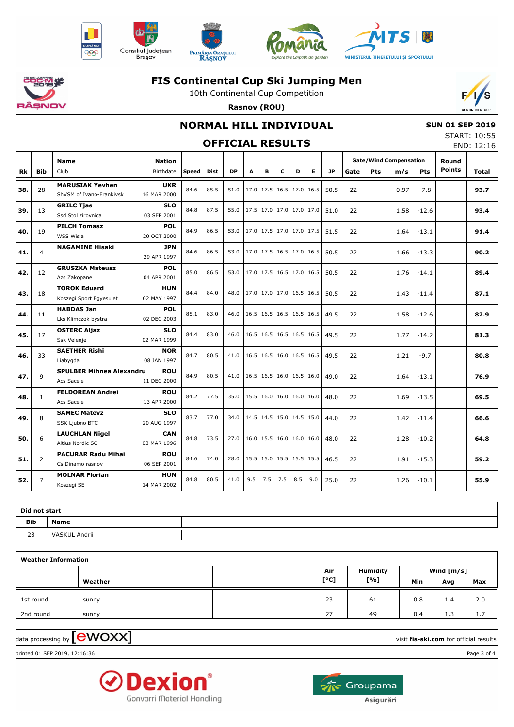











10th Continental Cup Competition **Rasnov (ROU)**



### **NORMAL HILL INDIVIDUAL**

 **SUN 01 SEP 2019** START: 10:55  $FND: 12:16$ 

| <b>OFFICIAL RESULTS</b> |                |                                                    |                            |            |      |      |   |   |                     |   |                          |      |      | JIMNI. 10.33<br>END: 12:16 |                                      |               |                        |       |
|-------------------------|----------------|----------------------------------------------------|----------------------------|------------|------|------|---|---|---------------------|---|--------------------------|------|------|----------------------------|--------------------------------------|---------------|------------------------|-------|
| Rk                      | <b>Bib</b>     | <b>Name</b><br>Club                                | <b>Nation</b><br>Birthdate | Speed Dist |      | DP   | A | в | C                   | D | E.                       | JP   | Gate | <b>Pts</b>                 | <b>Gate/Wind Compensation</b><br>m/s | <b>Pts</b>    | Round<br><b>Points</b> | Total |
| 38.                     | 28             | <b>MARUSIAK Yevhen</b><br>ShVSM of Ivano-Frankivsk | <b>UKR</b><br>16 MAR 2000  | 84.6       | 85.5 | 51.0 |   |   |                     |   | 17.0 17.5 16.5 17.0 16.5 | 50.5 | 22   |                            | 0.97                                 | $-7.8$        |                        | 93.7  |
| 39.                     | 13             | <b>GRILC Tjas</b><br>Ssd Stol zirovnica            | <b>SLO</b><br>03 SEP 2001  | 84.8       | 87.5 | 55.0 |   |   |                     |   | 17.5 17.0 17.0 17.0 17.0 | 51.0 | 22   |                            | 1.58                                 | $-12.6$       |                        | 93.4  |
| 40.                     | 19             | <b>PILCH Tomasz</b><br>WSS Wisla                   | <b>POL</b><br>20 OCT 2000  | 84.9       | 86.5 | 53.0 |   |   |                     |   | 17.0 17.5 17.0 17.0 17.5 | 51.5 | 22   |                            |                                      | $1.64 - 13.1$ |                        | 91.4  |
| 41.                     | 4              | <b>NAGAMINE Hisaki</b>                             | <b>JPN</b><br>29 APR 1997  | 84.6       | 86.5 | 53.0 |   |   |                     |   | 17.0 17.5 16.5 17.0 16.5 | 50.5 | 22   |                            | 1.66                                 | $-13.3$       |                        | 90.2  |
| 42.                     | 12             | <b>GRUSZKA Mateusz</b><br>Azs Zakopane             | <b>POL</b><br>04 APR 2001  | 85.0       | 86.5 | 53.0 |   |   |                     |   | 17.0 17.5 16.5 17.0 16.5 | 50.5 | 22   |                            | 1.76                                 | $-14.1$       |                        | 89.4  |
| 43.                     | 18             | <b>TOROK Eduard</b><br>Koszegi Sport Egyesulet     | <b>HUN</b><br>02 MAY 1997  | 84.4       | 84.0 | 48.0 |   |   |                     |   | 17.0 17.0 17.0 16.5 16.5 | 50.5 | 22   |                            |                                      | $1.43 - 11.4$ |                        | 87.1  |
| 44.                     | 11             | <b>HABDAS Jan</b><br>Lks Klimczok bystra           | <b>POL</b><br>02 DEC 2003  | 85.1       | 83.0 | 46.0 |   |   |                     |   | 16.5 16.5 16.5 16.5 16.5 | 49.5 | 22   |                            | 1.58                                 | $-12.6$       |                        | 82.9  |
| 45.                     | 17             | <b>OSTERC Aljaz</b><br>Ssk Velenje                 | <b>SLO</b><br>02 MAR 1999  | 84.4       | 83.0 | 46.0 |   |   |                     |   | 16.5 16.5 16.5 16.5 16.5 | 49.5 | 22   |                            |                                      | $1.77 - 14.2$ |                        | 81.3  |
| 46.                     | 33             | <b>SAETHER Rishi</b><br>Liabygda                   | <b>NOR</b><br>08 JAN 1997  | 84.7       | 80.5 | 41.0 |   |   |                     |   | 16.5 16.5 16.0 16.5 16.5 | 49.5 | 22   |                            | 1.21                                 | $-9.7$        |                        | 80.8  |
| 47.                     | 9              | <b>SPULBER Mihnea Alexandru</b><br>Acs Sacele      | <b>ROU</b><br>11 DEC 2000  | 84.9       | 80.5 | 41.0 |   |   |                     |   | 16.5 16.5 16.0 16.5 16.0 | 49.0 | 22   |                            |                                      | $1.64 - 13.1$ |                        | 76.9  |
| 48.                     | $\mathbf{1}$   | <b>FELDOREAN Andrei</b><br>Acs Sacele              | <b>ROU</b><br>13 APR 2000  | 84.2       | 77.5 | 35.0 |   |   |                     |   | 15.5 16.0 16.0 16.0 16.0 | 48.0 | 22   |                            | 1.69                                 | $-13.5$       |                        | 69.5  |
| 49.                     | 8              | <b>SAMEC Matevz</b><br>SSK Ljubno BTC              | <b>SLO</b><br>20 AUG 1997  | 83.7       | 77.0 | 34.0 |   |   |                     |   | 14.5 14.5 15.0 14.5 15.0 | 44.0 | 22   |                            |                                      | $1.42 - 11.4$ |                        | 66.6  |
| 50.                     | 6              | <b>LAUCHLAN Nigel</b><br>Altius Nordic SC          | <b>CAN</b><br>03 MAR 1996  | 84.8       | 73.5 | 27.0 |   |   |                     |   | 16.0 15.5 16.0 16.0 16.0 | 48.0 | 22   |                            | 1.28                                 | $-10.2$       |                        | 64.8  |
| 51.                     | $\overline{2}$ | <b>PACURAR Radu Mihai</b><br>Cs Dinamo rasnov      | <b>ROU</b><br>06 SEP 2001  | 84.6       | 74.0 | 28.0 |   |   |                     |   | 15.5 15.0 15.5 15.5 15.5 | 46.5 | 22   |                            |                                      | $1.91 - 15.3$ |                        | 59.2  |
| 52.                     | $\overline{7}$ | <b>MOLNAR Florian</b><br>Koszegi SE                | <b>HUN</b><br>14 MAR 2002  | 84.8       | 80.5 | 41.0 |   |   | 9.5 7.5 7.5 8.5 9.0 |   |                          | 25.0 | 22   |                            |                                      | $1.26 - 10.1$ |                        | 55.9  |

|     | Did not start |  |  |  |  |  |  |  |  |  |  |  |
|-----|---------------|--|--|--|--|--|--|--|--|--|--|--|
| Bib | <b>Name</b>   |  |  |  |  |  |  |  |  |  |  |  |
| 23  | VASKUL Andrii |  |  |  |  |  |  |  |  |  |  |  |

| <b>Weather Information</b> |         |      |                 |            |     |     |  |  |  |  |  |  |  |
|----------------------------|---------|------|-----------------|------------|-----|-----|--|--|--|--|--|--|--|
|                            |         | Air  | <b>Humidity</b> | Wind [m/s] |     |     |  |  |  |  |  |  |  |
|                            | Weather | [°C] | [%]             | Min        | Avg | Max |  |  |  |  |  |  |  |
| 1st round                  | sunny   | 23   | 61              | 0.8        | 1.4 | 2.0 |  |  |  |  |  |  |  |
| 2nd round                  | sunny   | 27   | 49              | 0.4        | 1.3 | 1.7 |  |  |  |  |  |  |  |

 $\alpha$  data processing by  $\boxed{\text{ewOX}}$ 

printed 01 SEP 2019, 12:16:36 Page 3 of 4